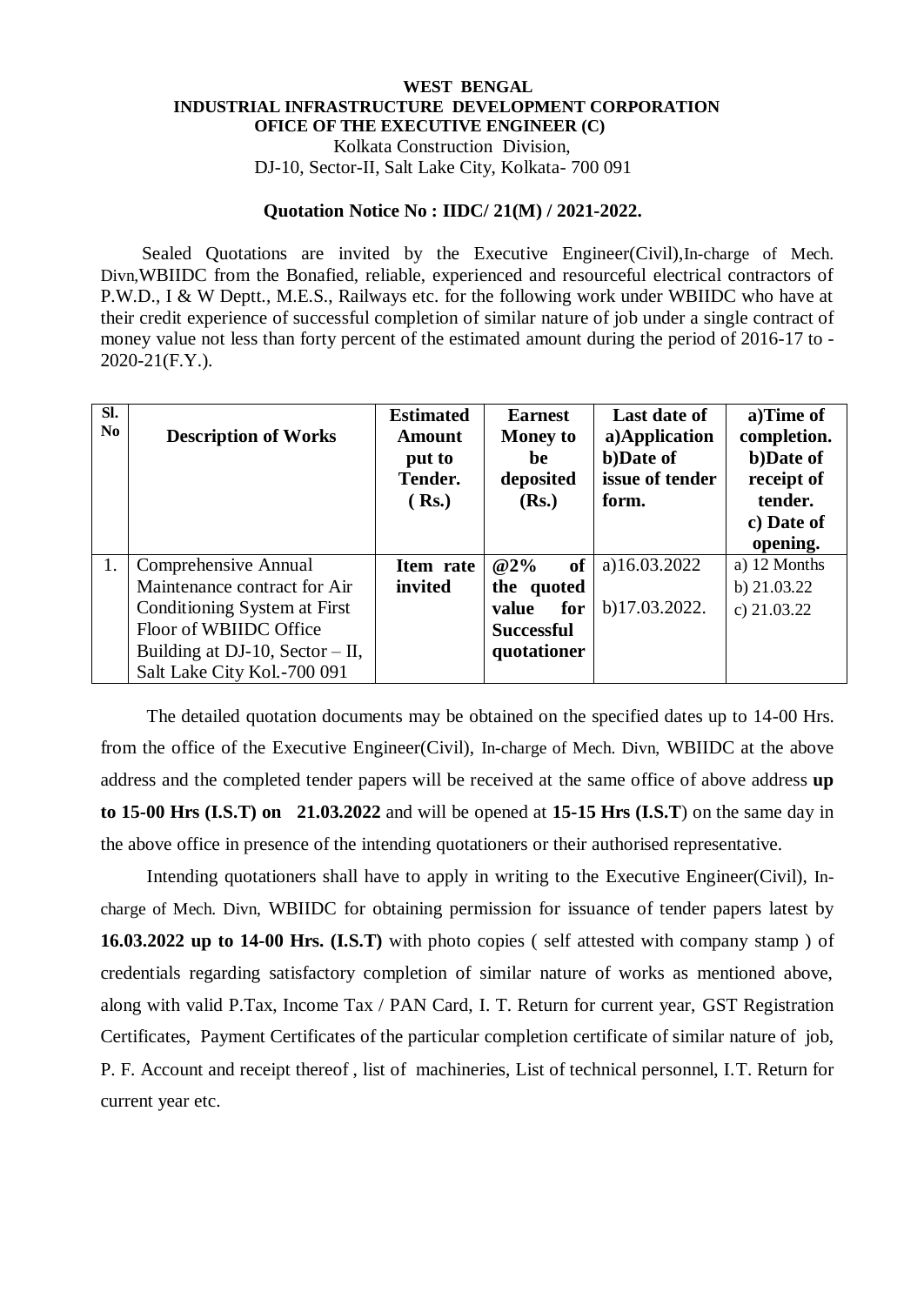## **WEST BENGAL INDUSTRIAL INFRASTRUCTURE DEVELOPMENT CORPORATION OFICE OF THE EXECUTIVE ENGINEER (C)** Kolkata Construction Division,

DJ-10, Sector-II, Salt Lake City, Kolkata- 700 091

## **Quotation Notice No : IIDC/ 21(M) / 2021-2022.**

 Sealed Quotations are invited by the Executive Engineer(Civil),In-charge of Mech. Divn,WBIIDC from the Bonafied, reliable, experienced and resourceful electrical contractors of P.W.D., I & W Deptt., M.E.S., Railways etc. for the following work under WBIIDC who have at their credit experience of successful completion of similar nature of job under a single contract of money value not less than forty percent of the estimated amount during the period of 2016-17 to - 2020-21(F.Y.).

| SI.<br>N <sub>0</sub> | <b>Description of Works</b>       | <b>Estimated</b><br><b>Amount</b><br>put to<br>Tender.<br>(Rs.) | <b>Earnest</b><br><b>Money to</b><br>be<br>deposited<br>(Rs.) | <b>Last date of</b><br>a)Application<br>b)Date of<br>issue of tender<br>form. | a)Time of<br>completion.<br>b)Date of<br>receipt of<br>tender.<br>c) Date of<br>opening. |
|-----------------------|-----------------------------------|-----------------------------------------------------------------|---------------------------------------------------------------|-------------------------------------------------------------------------------|------------------------------------------------------------------------------------------|
| 1.                    | Comprehensive Annual              | Item rate                                                       | $@2\%$<br>of                                                  | a)16.03.2022                                                                  | a) 12 Months                                                                             |
|                       | Maintenance contract for Air      | invited                                                         | the quoted                                                    |                                                                               | b) $21.03.22$                                                                            |
|                       | Conditioning System at First      |                                                                 | for<br>value                                                  | b)17.03.2022.                                                                 | c) $21.03.22$                                                                            |
|                       | Floor of WBIIDC Office            |                                                                 | <b>Successful</b>                                             |                                                                               |                                                                                          |
|                       | Building at DJ-10, Sector $-$ II, |                                                                 | quotationer                                                   |                                                                               |                                                                                          |
|                       | Salt Lake City Kol.-700 091       |                                                                 |                                                               |                                                                               |                                                                                          |

 The detailed quotation documents may be obtained on the specified dates up to 14-00 Hrs. from the office of the Executive Engineer(Civil), In-charge of Mech. Divn, WBIIDC at the above address and the completed tender papers will be received at the same office of above address **up to 15-00 Hrs (I.S.T) on 21.03.2022** and will be opened at **15-15 Hrs (I.S.T**) on the same day in the above office in presence of the intending quotationers or their authorised representative.

 Intending quotationers shall have to apply in writing to the Executive Engineer(Civil), Incharge of Mech. Divn, WBIIDC for obtaining permission for issuance of tender papers latest by **16.03.2022 up to 14-00 Hrs. (I.S.T)** with photo copies ( self attested with company stamp ) of credentials regarding satisfactory completion of similar nature of works as mentioned above, along with valid P.Tax, Income Tax / PAN Card, I. T. Return for current year, GST Registration Certificates, Payment Certificates of the particular completion certificate of similar nature of job, P. F. Account and receipt thereof , list of machineries, List of technical personnel, I.T. Return for current year etc.